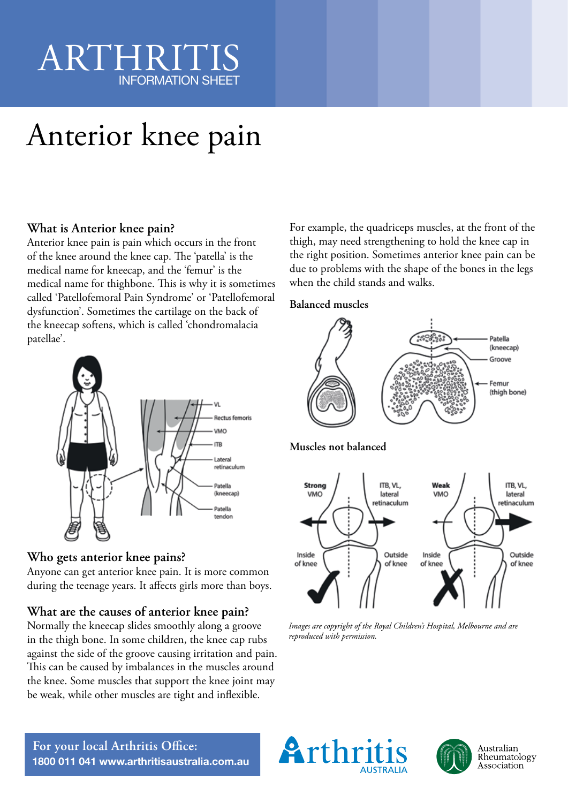## ARTHRIT INFORMATION SHEET

# Anterior knee pain

### **What is Anterior knee pain?**

Anterior knee pain is pain which occurs in the front of the knee around the knee cap. The 'patella' is the medical name for kneecap, and the 'femur' is the medical name for thighbone. This is why it is sometimes called 'Patellofemoral Pain Syndrome' or 'Patellofemoral dysfunction'. Sometimes the cartilage on the back of the kneecap softens, which is called 'chondromalacia patellae'.



### **Who gets anterior knee pains?**

Anyone can get anterior knee pain. It is more common during the teenage years. It affects girls more than boys.

### **What are the causes of anterior knee pain?**

Normally the kneecap slides smoothly along a groove in the thigh bone. In some children, the knee cap rubs against the side of the groove causing irritation and pain. This can be caused by imbalances in the muscles around the knee. Some muscles that support the knee joint may be weak, while other muscles are tight and inflexible.

For example, the quadriceps muscles, at the front of the thigh, may need strengthening to hold the knee cap in the right position. Sometimes anterior knee pain can be due to problems with the shape of the bones in the legs when the child stands and walks.

#### **Balanced muscles**



*Images are copyright of the Royal Children's Hospital, Melbourne and are reproduced with permission.*





**For your local Arthritis Office: 1800 011 041 www.arthritisaustralia.com.au**